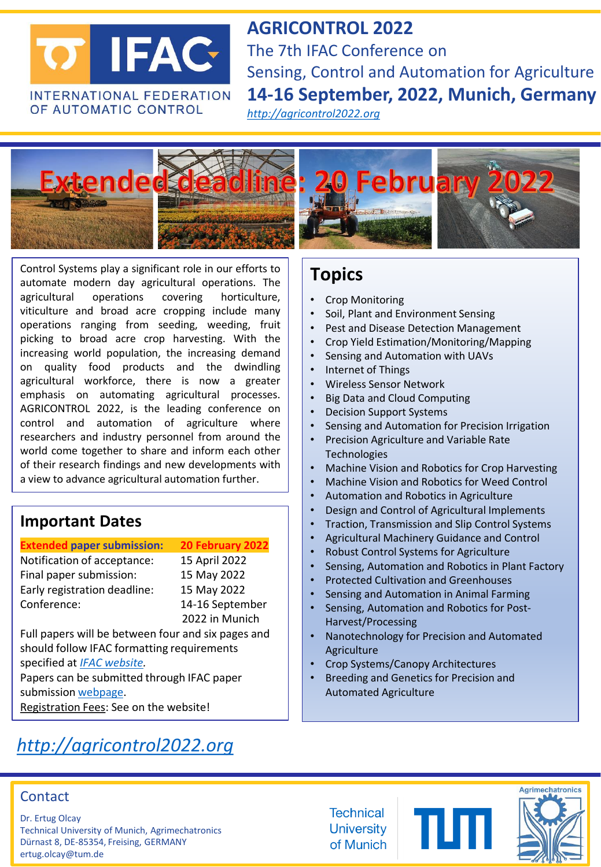

**AGRICONTROL 2022**  The 7th IFAC Conference on Sensing, Control and Automation for Agriculture **14-16 September, 2022, Munich, Germany**

*[http://agricontrol2022.org](http://agricontrol2022.org/)*



Control Systems play a significant role in our efforts to automate modern day agricultural operations. The agricultural operations covering horticulture, viticulture and broad acre cropping include many operations ranging from seeding, weeding, fruit picking to broad acre crop harvesting. With the increasing world population, the increasing demand on quality food products and the dwindling agricultural workforce, there is now a greater emphasis on automating agricultural processes. AGRICONTROL 2022, is the leading conference on control and automation of agriculture where researchers and industry personnel from around the world come together to share and inform each other of their research findings and new developments with a view to advance agricultural automation further.

#### **Important Dates**

#### **Extended paper submission: 20 February 2022**

Notification of acceptance: 15 April 2022 Final paper submission: 15 May 2022 Early registration deadline: 15 May 2022 Conference: 14-16 September

2022 in Munich

Full papers will be between four and six pages and should follow IFAC formatting requirements specified at *[IFAC website.](https://www.ifac-control.org/conferences/author-guide/Author%20Guide)* 

Papers can be submitted through IFAC paper submission [webpage](https://ifac.papercept.net/conferences/scripts/start.pl).

Registration Fees: See on the website!

# *[http://agricontrol2022.org](http://agricontrol2022.org/)*

# **Topics**

- Crop Monitoring
- Soil, Plant and Environment Sensing
- Pest and Disease Detection Management
- Crop Yield Estimation/Monitoring/Mapping
- Sensing and Automation with UAVs
- Internet of Things
- Wireless Sensor Network
- Big Data and Cloud Computing
- Decision Support Systems
- Sensing and Automation for Precision Irrigation
- Precision Agriculture and Variable Rate **Technologies**
- Machine Vision and Robotics for Crop Harvesting
- Machine Vision and Robotics for Weed Control
- Automation and Robotics in Agriculture
- Design and Control of Agricultural Implements
- Traction, Transmission and Slip Control Systems
- Agricultural Machinery Guidance and Control
- Robust Control Systems for Agriculture
- Sensing, Automation and Robotics in Plant Factory
- Protected Cultivation and Greenhouses
- Sensing and Automation in Animal Farming
- Sensing, Automation and Robotics for Post-Harvest/Processing
- Nanotechnology for Precision and Automated Agriculture
- Crop Systems/Canopy Architectures
- Breeding and Genetics for Precision and Automated Agriculture



Dr. Ertug Olcay Technical University of Munich, Agrimechatronics Dürnast 8, DE-85354, Freising, GERMANY ertug.olcay@tum.de

**Technical University** of Munich